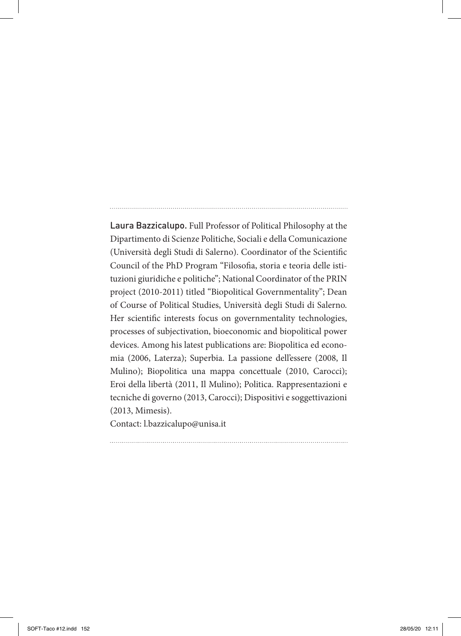Laura Bazzicalupo. Full Professor of Political Philosophy at the Dipartimento di Scienze Politiche, Sociali e della Comunicazione (Università degli Studi di Salerno). Coordinator of the Scientific Council of the PhD Program "Filosofia, storia e teoria delle istituzioni giuridiche e politiche"; National Coordinator of the PRIN project (2010-2011) titled "Biopolitical Governmentality"; Dean of Course of Political Studies, Università degli Studi di Salerno. Her scientific interests focus on governmentality technologies, processes of subjectivation, bioeconomic and biopolitical power devices. Among his latest publications are: Biopolitica ed economia (2006, Laterza); Superbia. La passione dell'essere (2008, Il Mulino); Biopolitica una mappa concettuale (2010, Carocci); Eroi della libertà (2011, Il Mulino); Politica. Rappresentazioni e tecniche di governo (2013, Carocci); Dispositivi e soggettivazioni (2013, Mimesis).

Contact: l.bazzicalupo@unisa.it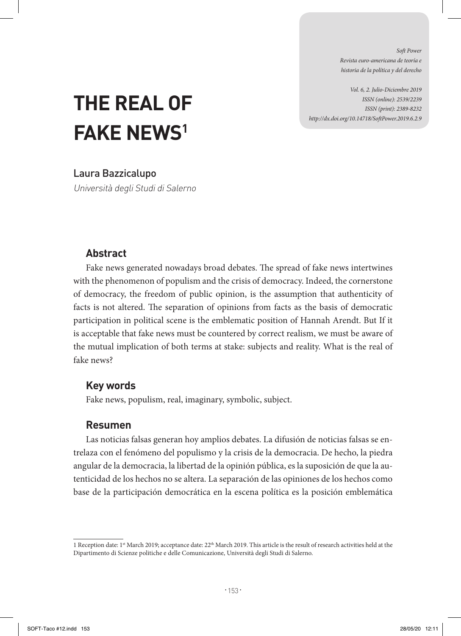*Soft Power Revista euro-americana de teoría e historia de la política y del derecho* 

*Vol. 6, 2. Julio-Diciembre 2019 ISSN (online): 2539/2239 ISSN (print): 2389-8232 http://dx.doi.org/10.14718/SoftPower.2019.6.2.9*

# **THE REAL OF FAKE NEWS1**

Laura Bazzicalupo

Università degli Studi di Salerno

# **Abstract**

Fake news generated nowadays broad debates. The spread of fake news intertwines with the phenomenon of populism and the crisis of democracy. Indeed, the cornerstone of democracy, the freedom of public opinion, is the assumption that authenticity of facts is not altered. The separation of opinions from facts as the basis of democratic participation in political scene is the emblematic position of Hannah Arendt. But If it is acceptable that fake news must be countered by correct realism, we must be aware of the mutual implication of both terms at stake: subjects and reality. What is the real of fake news?

# **Key words**

Fake news, populism, real, imaginary, symbolic, subject.

## **Resumen**

Las noticias falsas generan hoy amplios debates. La difusión de noticias falsas se entrelaza con el fenómeno del populismo y la crisis de la democracia. De hecho, la piedra angular de la democracia, la libertad de la opinión pública, es la suposición de que la autenticidad de los hechos no se altera. La separación de las opiniones de los hechos como base de la participación democrática en la escena política es la posición emblemática

<sup>1</sup> Reception date: 1<sup>st</sup> March 2019; acceptance date: 22<sup>th</sup> March 2019. This article is the result of research activities held at the Dipartimento di Scienze politiche e delle Comunicazione, Università degli Studi di Salerno.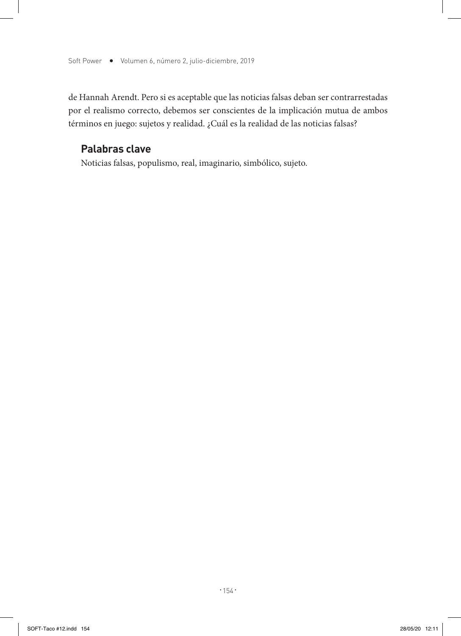de Hannah Arendt. Pero si es aceptable que las noticias falsas deban ser contrarrestadas por el realismo correcto, debemos ser conscientes de la implicación mutua de ambos términos en juego: sujetos y realidad. ¿Cuál es la realidad de las noticias falsas?

### **Palabras clave**

Noticias falsas, populismo, real, imaginario, simbólico, sujeto.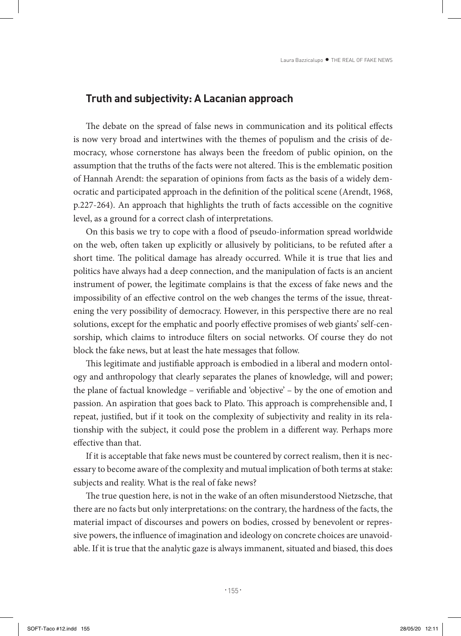#### **Truth and subjectivity: A Lacanian approach**

The debate on the spread of false news in communication and its political effects is now very broad and intertwines with the themes of populism and the crisis of democracy, whose cornerstone has always been the freedom of public opinion, on the assumption that the truths of the facts were not altered. This is the emblematic position of Hannah Arendt: the separation of opinions from facts as the basis of a widely democratic and participated approach in the definition of the political scene (Arendt, 1968, p.227-264). An approach that highlights the truth of facts accessible on the cognitive level, as a ground for a correct clash of interpretations.

On this basis we try to cope with a flood of pseudo-information spread worldwide on the web, often taken up explicitly or allusively by politicians, to be refuted after a short time. The political damage has already occurred. While it is true that lies and politics have always had a deep connection, and the manipulation of facts is an ancient instrument of power, the legitimate complains is that the excess of fake news and the impossibility of an effective control on the web changes the terms of the issue, threatening the very possibility of democracy. However, in this perspective there are no real solutions, except for the emphatic and poorly effective promises of web giants' self-censorship, which claims to introduce filters on social networks. Of course they do not block the fake news, but at least the hate messages that follow.

This legitimate and justifiable approach is embodied in a liberal and modern ontology and anthropology that clearly separates the planes of knowledge, will and power; the plane of factual knowledge – verifiable and 'objective' – by the one of emotion and passion. An aspiration that goes back to Plato. This approach is comprehensible and, I repeat, justified, but if it took on the complexity of subjectivity and reality in its relationship with the subject, it could pose the problem in a different way. Perhaps more effective than that.

If it is acceptable that fake news must be countered by correct realism, then it is necessary to become aware of the complexity and mutual implication of both terms at stake: subjects and reality. What is the real of fake news?

The true question here, is not in the wake of an often misunderstood Nietzsche, that there are no facts but only interpretations: on the contrary, the hardness of the facts, the material impact of discourses and powers on bodies, crossed by benevolent or repressive powers, the influence of imagination and ideology on concrete choices are unavoidable. If it is true that the analytic gaze is always immanent, situated and biased, this does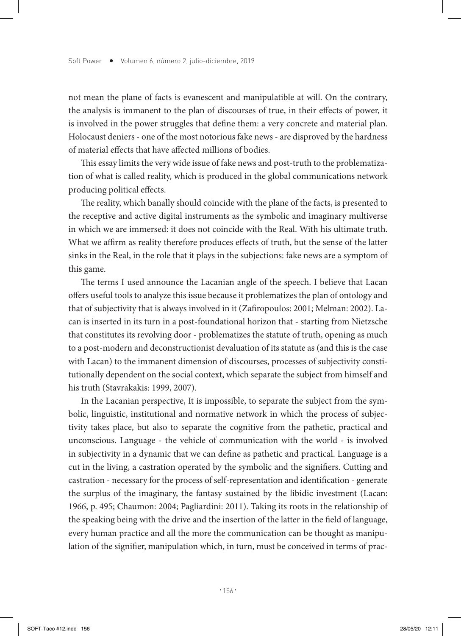not mean the plane of facts is evanescent and manipulatible at will. On the contrary, the analysis is immanent to the plan of discourses of true, in their effects of power, it is involved in the power struggles that define them: a very concrete and material plan. Holocaust deniers - one of the most notorious fake news - are disproved by the hardness of material effects that have affected millions of bodies.

This essay limits the very wide issue of fake news and post-truth to the problematization of what is called reality, which is produced in the global communications network producing political effects.

The reality, which banally should coincide with the plane of the facts, is presented to the receptive and active digital instruments as the symbolic and imaginary multiverse in which we are immersed: it does not coincide with the Real. With his ultimate truth. What we affirm as reality therefore produces effects of truth, but the sense of the latter sinks in the Real, in the role that it plays in the subjections: fake news are a symptom of this game.

The terms I used announce the Lacanian angle of the speech. I believe that Lacan offers useful tools to analyze this issue because it problematizes the plan of ontology and that of subjectivity that is always involved in it (Zafiropoulos: 2001; Melman: 2002). Lacan is inserted in its turn in a post-foundational horizon that - starting from Nietzsche that constitutes its revolving door - problematizes the statute of truth, opening as much to a post-modern and deconstructionist devaluation of its statute as (and this is the case with Lacan) to the immanent dimension of discourses, processes of subjectivity constitutionally dependent on the social context, which separate the subject from himself and his truth (Stavrakakis: 1999, 2007).

In the Lacanian perspective, It is impossible, to separate the subject from the symbolic, linguistic, institutional and normative network in which the process of subjectivity takes place, but also to separate the cognitive from the pathetic, practical and unconscious. Language - the vehicle of communication with the world - is involved in subjectivity in a dynamic that we can define as pathetic and practical. Language is a cut in the living, a castration operated by the symbolic and the signifiers. Cutting and castration - necessary for the process of self-representation and identification - generate the surplus of the imaginary, the fantasy sustained by the libidic investment (Lacan: 1966, p. 495; Chaumon: 2004; Pagliardini: 2011). Taking its roots in the relationship of the speaking being with the drive and the insertion of the latter in the field of language, every human practice and all the more the communication can be thought as manipulation of the signifier, manipulation which, in turn, must be conceived in terms of prac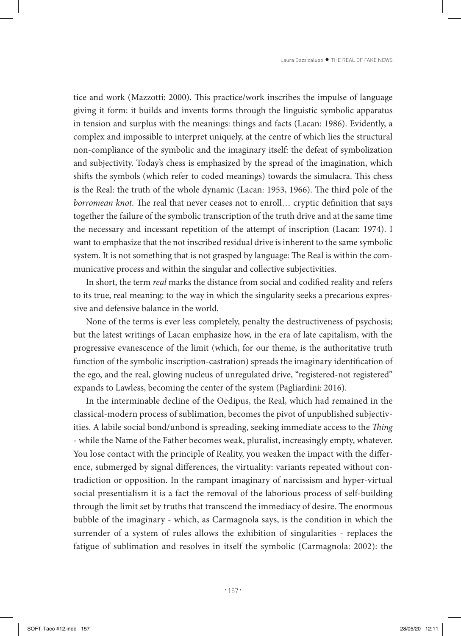tice and work (Mazzotti: 2000). This practice/work inscribes the impulse of language giving it form: it builds and invents forms through the linguistic symbolic apparatus in tension and surplus with the meanings: things and facts (Lacan: 1986). Evidently, a complex and impossible to interpret uniquely, at the centre of which lies the structural non-compliance of the symbolic and the imaginary itself: the defeat of symbolization and subjectivity. Today's chess is emphasized by the spread of the imagination, which shifts the symbols (which refer to coded meanings) towards the simulacra. This chess is the Real: the truth of the whole dynamic (Lacan: 1953, 1966). The third pole of the *borromean knot*. The real that never ceases not to enroll… cryptic definition that says together the failure of the symbolic transcription of the truth drive and at the same time the necessary and incessant repetition of the attempt of inscription (Lacan: 1974). I want to emphasize that the not inscribed residual drive is inherent to the same symbolic system. It is not something that is not grasped by language: The Real is within the communicative process and within the singular and collective subjectivities.

In short, the term *real* marks the distance from social and codified reality and refers to its true, real meaning: to the way in which the singularity seeks a precarious expressive and defensive balance in the world.

None of the terms is ever less completely, penalty the destructiveness of psychosis; but the latest writings of Lacan emphasize how, in the era of late capitalism, with the progressive evanescence of the limit (which, for our theme, is the authoritative truth function of the symbolic inscription-castration) spreads the imaginary identification of the ego, and the real, glowing nucleus of unregulated drive, "registered-not registered" expands to Lawless, becoming the center of the system (Pagliardini: 2016).

In the interminable decline of the Oedipus, the Real, which had remained in the classical-modern process of sublimation, becomes the pivot of unpublished subjectivities. A labile social bond/unbond is spreading, seeking immediate access to the *Thing* - while the Name of the Father becomes weak, pluralist, increasingly empty, whatever. You lose contact with the principle of Reality, you weaken the impact with the difference, submerged by signal differences, the virtuality: variants repeated without contradiction or opposition. In the rampant imaginary of narcissism and hyper-virtual social presentialism it is a fact the removal of the laborious process of self-building through the limit set by truths that transcend the immediacy of desire. The enormous bubble of the imaginary - which, as Carmagnola says, is the condition in which the surrender of a system of rules allows the exhibition of singularities - replaces the fatigue of sublimation and resolves in itself the symbolic (Carmagnola: 2002): the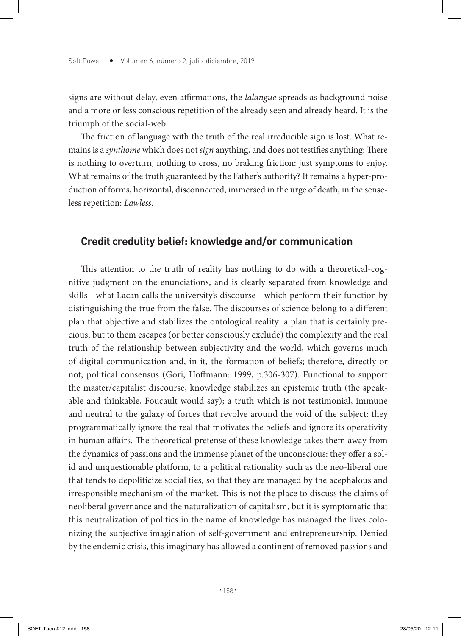signs are without delay, even affirmations, the *lalangue* spreads as background noise and a more or less conscious repetition of the already seen and already heard. It is the triumph of the social-web.

The friction of language with the truth of the real irreducible sign is lost. What remains is a *synthome* which does not *sign* anything, and does not testifies anything: There is nothing to overturn, nothing to cross, no braking friction: just symptoms to enjoy. What remains of the truth guaranteed by the Father's authority? It remains a hyper-production of forms, horizontal, disconnected, immersed in the urge of death, in the senseless repetition: *Lawless.*

#### **Credit credulity belief: knowledge and/or communication**

This attention to the truth of reality has nothing to do with a theoretical-cognitive judgment on the enunciations, and is clearly separated from knowledge and skills - what Lacan calls the university's discourse - which perform their function by distinguishing the true from the false. The discourses of science belong to a different plan that objective and stabilizes the ontological reality: a plan that is certainly precious, but to them escapes (or better consciously exclude) the complexity and the real truth of the relationship between subjectivity and the world, which governs much of digital communication and, in it, the formation of beliefs; therefore, directly or not, political consensus (Gori, Hoffmann: 1999, p.306-307). Functional to support the master/capitalist discourse, knowledge stabilizes an epistemic truth (the speakable and thinkable, Foucault would say); a truth which is not testimonial, immune and neutral to the galaxy of forces that revolve around the void of the subject: they programmatically ignore the real that motivates the beliefs and ignore its operativity in human affairs. The theoretical pretense of these knowledge takes them away from the dynamics of passions and the immense planet of the unconscious: they offer a solid and unquestionable platform, to a political rationality such as the neo-liberal one that tends to depoliticize social ties, so that they are managed by the acephalous and irresponsible mechanism of the market. This is not the place to discuss the claims of neoliberal governance and the naturalization of capitalism, but it is symptomatic that this neutralization of politics in the name of knowledge has managed the lives colonizing the subjective imagination of self-government and entrepreneurship. Denied by the endemic crisis, this imaginary has allowed a continent of removed passions and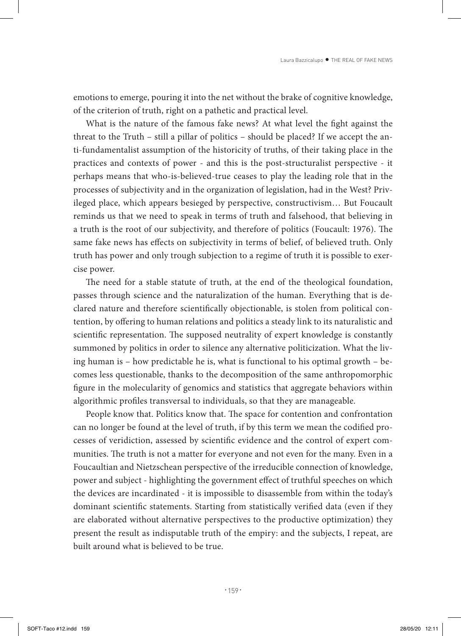emotions to emerge, pouring it into the net without the brake of cognitive knowledge, of the criterion of truth, right on a pathetic and practical level.

What is the nature of the famous fake news? At what level the fight against the threat to the Truth – still a pillar of politics – should be placed? If we accept the anti-fundamentalist assumption of the historicity of truths, of their taking place in the practices and contexts of power - and this is the post-structuralist perspective - it perhaps means that who-is-believed-true ceases to play the leading role that in the processes of subjectivity and in the organization of legislation, had in the West? Privileged place, which appears besieged by perspective, constructivism… But Foucault reminds us that we need to speak in terms of truth and falsehood, that believing in a truth is the root of our subjectivity, and therefore of politics (Foucault: 1976). The same fake news has effects on subjectivity in terms of belief, of believed truth. Only truth has power and only trough subjection to a regime of truth it is possible to exercise power.

The need for a stable statute of truth, at the end of the theological foundation, passes through science and the naturalization of the human. Everything that is declared nature and therefore scientifically objectionable, is stolen from political contention, by offering to human relations and politics a steady link to its naturalistic and scientific representation. The supposed neutrality of expert knowledge is constantly summoned by politics in order to silence any alternative politicization. What the living human is – how predictable he is, what is functional to his optimal growth – becomes less questionable, thanks to the decomposition of the same anthropomorphic figure in the molecularity of genomics and statistics that aggregate behaviors within algorithmic profiles transversal to individuals, so that they are manageable.

People know that. Politics know that. The space for contention and confrontation can no longer be found at the level of truth, if by this term we mean the codified processes of veridiction, assessed by scientific evidence and the control of expert communities. The truth is not a matter for everyone and not even for the many. Even in a Foucaultian and Nietzschean perspective of the irreducible connection of knowledge, power and subject - highlighting the government effect of truthful speeches on which the devices are incardinated - it is impossible to disassemble from within the today's dominant scientific statements. Starting from statistically verified data (even if they are elaborated without alternative perspectives to the productive optimization) they present the result as indisputable truth of the empiry: and the subjects, I repeat, are built around what is believed to be true.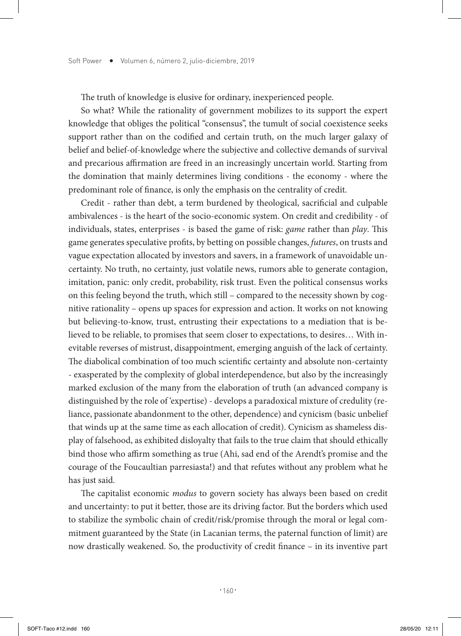The truth of knowledge is elusive for ordinary, inexperienced people.

So what? While the rationality of government mobilizes to its support the expert knowledge that obliges the political "consensus", the tumult of social coexistence seeks support rather than on the codified and certain truth, on the much larger galaxy of belief and belief-of-knowledge where the subjective and collective demands of survival and precarious affirmation are freed in an increasingly uncertain world. Starting from the domination that mainly determines living conditions - the economy - where the predominant role of finance, is only the emphasis on the centrality of credit.

Credit - rather than debt, a term burdened by theological, sacrificial and culpable ambivalences - is the heart of the socio-economic system. On credit and credibility - of individuals, states, enterprises - is based the game of risk: *game* rather than *play*. This game generates speculative profits, by betting on possible changes, *futures*, on trusts and vague expectation allocated by investors and savers, in a framework of unavoidable uncertainty. No truth, no certainty, just volatile news, rumors able to generate contagion, imitation, panic: only credit, probability, risk trust. Even the political consensus works on this feeling beyond the truth, which still – compared to the necessity shown by cognitive rationality – opens up spaces for expression and action. It works on not knowing but believing-to-know, trust, entrusting their expectations to a mediation that is believed to be reliable, to promises that seem closer to expectations, to desires… With inevitable reverses of mistrust, disappointment, emerging anguish of the lack of certainty. The diabolical combination of too much scientific certainty and absolute non-certainty - exasperated by the complexity of global interdependence, but also by the increasingly marked exclusion of the many from the elaboration of truth (an advanced company is distinguished by the role of 'expertise) - develops a paradoxical mixture of credulity (reliance, passionate abandonment to the other, dependence) and cynicism (basic unbelief that winds up at the same time as each allocation of credit). Cynicism as shameless display of falsehood, as exhibited disloyalty that fails to the true claim that should ethically bind those who affirm something as true (Ahi, sad end of the Arendt's promise and the courage of the Foucaultian parresiasta!) and that refutes without any problem what he has just said.

The capitalist economic *modus* to govern society has always been based on credit and uncertainty: to put it better, those are its driving factor. But the borders which used to stabilize the symbolic chain of credit/risk/promise through the moral or legal commitment guaranteed by the State (in Lacanian terms, the paternal function of limit) are now drastically weakened. So, the productivity of credit finance – in its inventive part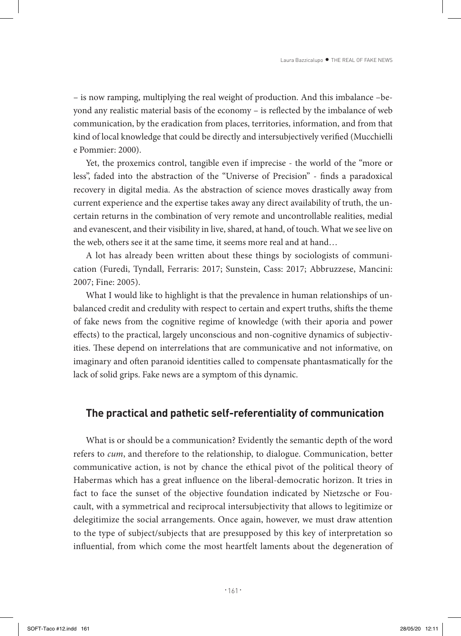– is now ramping, multiplying the real weight of production. And this imbalance –beyond any realistic material basis of the economy – is reflected by the imbalance of web communication, by the eradication from places, territories, information, and from that kind of local knowledge that could be directly and intersubjectively verified (Mucchielli e Pommier: 2000).

Yet, the proxemics control, tangible even if imprecise - the world of the "more or less", faded into the abstraction of the "Universe of Precision" - finds a paradoxical recovery in digital media. As the abstraction of science moves drastically away from current experience and the expertise takes away any direct availability of truth, the uncertain returns in the combination of very remote and uncontrollable realities, medial and evanescent, and their visibility in live, shared, at hand, of touch. What we see live on the web, others see it at the same time, it seems more real and at hand…

A lot has already been written about these things by sociologists of communication (Furedi, Tyndall, Ferraris: 2017; Sunstein, Cass: 2017; Abbruzzese, Mancini: 2007; Fine: 2005).

What I would like to highlight is that the prevalence in human relationships of unbalanced credit and credulity with respect to certain and expert truths, shifts the theme of fake news from the cognitive regime of knowledge (with their aporia and power effects) to the practical, largely unconscious and non-cognitive dynamics of subjectivities. These depend on interrelations that are communicative and not informative, on imaginary and often paranoid identities called to compensate phantasmatically for the lack of solid grips. Fake news are a symptom of this dynamic.

#### **The practical and pathetic self-referentiality of communication**

What is or should be a communication? Evidently the semantic depth of the word refers to *cum*, and therefore to the relationship, to dialogue. Communication, better communicative action, is not by chance the ethical pivot of the political theory of Habermas which has a great influence on the liberal-democratic horizon. It tries in fact to face the sunset of the objective foundation indicated by Nietzsche or Foucault, with a symmetrical and reciprocal intersubjectivity that allows to legitimize or delegitimize the social arrangements. Once again, however, we must draw attention to the type of subject/subjects that are presupposed by this key of interpretation so influential, from which come the most heartfelt laments about the degeneration of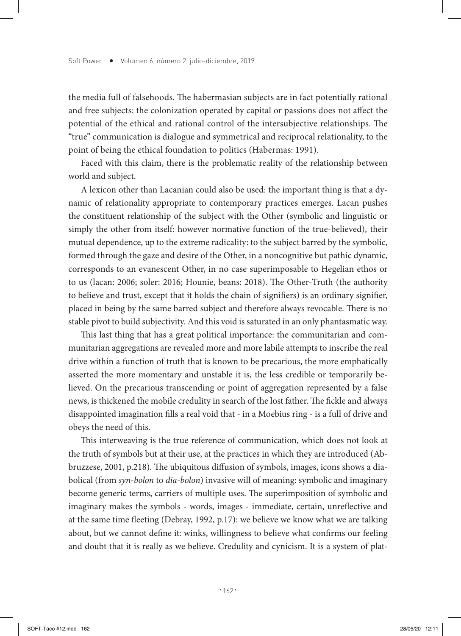the media full of falsehoods. The habermasian subjects are in fact potentially rational and free subjects: the colonization operated by capital or passions does not affect the potential of the ethical and rational control of the intersubjective relationships. The "true" communication is dialogue and symmetrical and reciprocal relationality, to the point of being the ethical foundation to politics (Habermas: 1991).

Faced with this claim, there is the problematic reality of the relationship between world and subject.

A lexicon other than Lacanian could also be used: the important thing is that a dynamic of relationality appropriate to contemporary practices emerges. Lacan pushes the constituent relationship of the subject with the Other (symbolic and linguistic or simply the other from itself: however normative function of the true-believed), their mutual dependence, up to the extreme radicality: to the subject barred by the symbolic, formed through the gaze and desire of the Other, in a noncognitive but pathic dynamic, corresponds to an evanescent Other, in no case superimposable to Hegelian ethos or to us (lacan: 2006; soler: 2016; Hounie, beans: 2018). The Other-Truth (the authority to believe and trust, except that it holds the chain of signifiers) is an ordinary signifier, placed in being by the same barred subject and therefore always revocable. There is no stable pivot to build subjectivity. And this void is saturated in an only phantasmatic way.

This last thing that has a great political importance: the communitarian and communitarian aggregations are revealed more and more labile attempts to inscribe the real drive within a function of truth that is known to be precarious, the more emphatically asserted the more momentary and unstable it is, the less credible or temporarily believed. On the precarious transcending or point of aggregation represented by a false news, is thickened the mobile credulity in search of the lost father. The fickle and always disappointed imagination fills a real void that - in a Moebius ring - is a full of drive and obeys the need of this.

This interweaving is the true reference of communication, which does not look at the truth of symbols but at their use, at the practices in which they are introduced (Abbruzzese, 2001, p.218). The ubiquitous diffusion of symbols, images, icons shows a diabolical (from *syn-bolon* to *dia-bolon*) invasive will of meaning: symbolic and imaginary become generic terms, carriers of multiple uses. The superimposition of symbolic and imaginary makes the symbols - words, images - immediate, certain, unreflective and at the same time fleeting (Debray, 1992, p.17): we believe we know what we are talking about, but we cannot define it: winks, willingness to believe what confirms our feeling and doubt that it is really as we believe. Credulity and cynicism. It is a system of plat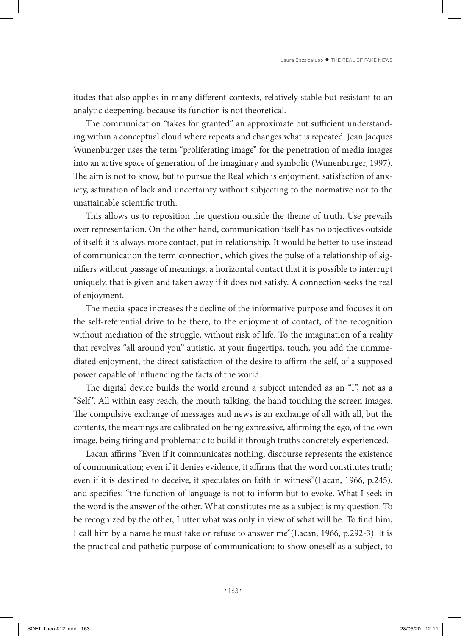itudes that also applies in many different contexts, relatively stable but resistant to an analytic deepening, because its function is not theoretical.

The communication "takes for granted" an approximate but sufficient understanding within a conceptual cloud where repeats and changes what is repeated. Jean Jacques Wunenburger uses the term "proliferating image" for the penetration of media images into an active space of generation of the imaginary and symbolic (Wunenburger, 1997). The aim is not to know, but to pursue the Real which is enjoyment, satisfaction of anxiety, saturation of lack and uncertainty without subjecting to the normative nor to the unattainable scientific truth.

This allows us to reposition the question outside the theme of truth. Use prevails over representation. On the other hand, communication itself has no objectives outside of itself: it is always more contact, put in relationship. It would be better to use instead of communication the term connection, which gives the pulse of a relationship of signifiers without passage of meanings, a horizontal contact that it is possible to interrupt uniquely, that is given and taken away if it does not satisfy. A connection seeks the real of enjoyment.

The media space increases the decline of the informative purpose and focuses it on the self-referential drive to be there, to the enjoyment of contact, of the recognition without mediation of the struggle, without risk of life. To the imagination of a reality that revolves "all around you" autistic, at your fingertips, touch, you add the unmmediated enjoyment, the direct satisfaction of the desire to affirm the self, of a supposed power capable of influencing the facts of the world.

The digital device builds the world around a subject intended as an "I", not as a "Self ". All within easy reach, the mouth talking, the hand touching the screen images. The compulsive exchange of messages and news is an exchange of all with all, but the contents, the meanings are calibrated on being expressive, affirming the ego, of the own image, being tiring and problematic to build it through truths concretely experienced.

Lacan affirms "Even if it communicates nothing, discourse represents the existence of communication; even if it denies evidence, it affirms that the word constitutes truth; even if it is destined to deceive, it speculates on faith in witness"(Lacan, 1966, p.245). and specifies: "the function of language is not to inform but to evoke. What I seek in the word is the answer of the other. What constitutes me as a subject is my question. To be recognized by the other, I utter what was only in view of what will be. To find him, I call him by a name he must take or refuse to answer me"(Lacan, 1966, p.292-3). It is the practical and pathetic purpose of communication: to show oneself as a subject, to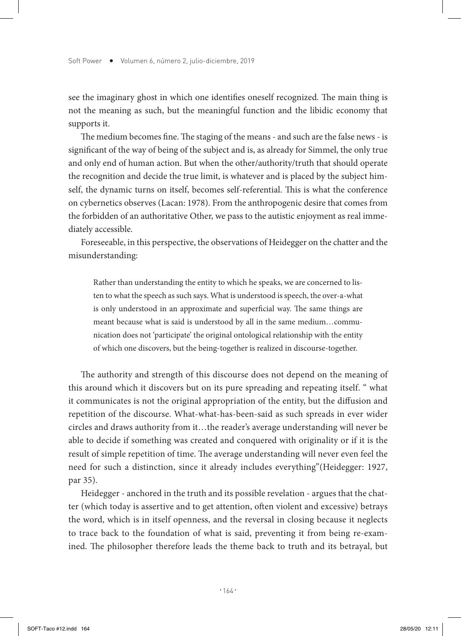see the imaginary ghost in which one identifies oneself recognized. The main thing is not the meaning as such, but the meaningful function and the libidic economy that supports it.

The medium becomes fine. The staging of the means - and such are the false news - is significant of the way of being of the subject and is, as already for Simmel, the only true and only end of human action. But when the other/authority/truth that should operate the recognition and decide the true limit, is whatever and is placed by the subject himself, the dynamic turns on itself, becomes self-referential. This is what the conference on cybernetics observes (Lacan: 1978). From the anthropogenic desire that comes from the forbidden of an authoritative Other, we pass to the autistic enjoyment as real immediately accessible.

Foreseeable, in this perspective, the observations of Heidegger on the chatter and the misunderstanding:

Rather than understanding the entity to which he speaks, we are concerned to listen to what the speech as such says. What is understood is speech, the over-a-what is only understood in an approximate and superficial way. The same things are meant because what is said is understood by all in the same medium…communication does not 'participate' the original ontological relationship with the entity of which one discovers, but the being-together is realized in discourse-together.

The authority and strength of this discourse does not depend on the meaning of this around which it discovers but on its pure spreading and repeating itself. " what it communicates is not the original appropriation of the entity, but the diffusion and repetition of the discourse. What-what-has-been-said as such spreads in ever wider circles and draws authority from it…the reader's average understanding will never be able to decide if something was created and conquered with originality or if it is the result of simple repetition of time. The average understanding will never even feel the need for such a distinction, since it already includes everything"(Heidegger: 1927, par 35).

Heidegger - anchored in the truth and its possible revelation - argues that the chatter (which today is assertive and to get attention, often violent and excessive) betrays the word, which is in itself openness, and the reversal in closing because it neglects to trace back to the foundation of what is said, preventing it from being re-examined. The philosopher therefore leads the theme back to truth and its betrayal, but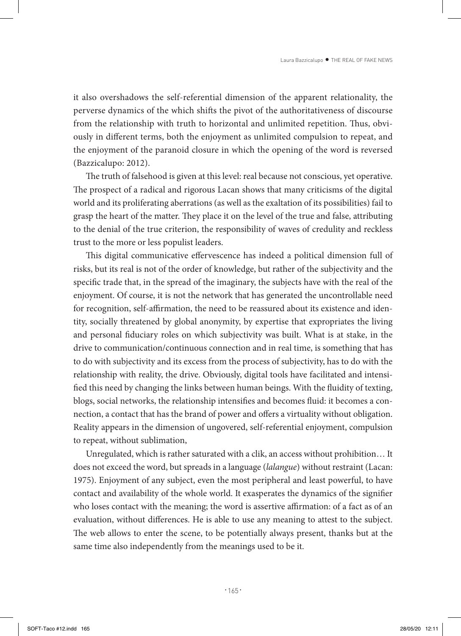it also overshadows the self-referential dimension of the apparent relationality, the perverse dynamics of the which shifts the pivot of the authoritativeness of discourse from the relationship with truth to horizontal and unlimited repetition. Thus, obviously in different terms, both the enjoyment as unlimited compulsion to repeat, and the enjoyment of the paranoid closure in which the opening of the word is reversed (Bazzicalupo: 2012).

The truth of falsehood is given at this level: real because not conscious, yet operative. The prospect of a radical and rigorous Lacan shows that many criticisms of the digital world and its proliferating aberrations (as well as the exaltation of its possibilities) fail to grasp the heart of the matter. They place it on the level of the true and false, attributing to the denial of the true criterion, the responsibility of waves of credulity and reckless trust to the more or less populist leaders.

This digital communicative effervescence has indeed a political dimension full of risks, but its real is not of the order of knowledge, but rather of the subjectivity and the specific trade that, in the spread of the imaginary, the subjects have with the real of the enjoyment. Of course, it is not the network that has generated the uncontrollable need for recognition, self-affirmation, the need to be reassured about its existence and identity, socially threatened by global anonymity, by expertise that expropriates the living and personal fiduciary roles on which subjectivity was built. What is at stake, in the drive to communication/continuous connection and in real time, is something that has to do with subjectivity and its excess from the process of subjectivity, has to do with the relationship with reality, the drive. Obviously, digital tools have facilitated and intensified this need by changing the links between human beings. With the fluidity of texting, blogs, social networks, the relationship intensifies and becomes fluid: it becomes a connection, a contact that has the brand of power and offers a virtuality without obligation. Reality appears in the dimension of ungovered, self-referential enjoyment, compulsion to repeat, without sublimation,

Unregulated, which is rather saturated with a clik, an access without prohibition… It does not exceed the word, but spreads in a language (*lalangue*) without restraint (Lacan: 1975). Enjoyment of any subject, even the most peripheral and least powerful, to have contact and availability of the whole world. It exasperates the dynamics of the signifier who loses contact with the meaning; the word is assertive affirmation: of a fact as of an evaluation, without differences. He is able to use any meaning to attest to the subject. The web allows to enter the scene, to be potentially always present, thanks but at the same time also independently from the meanings used to be it.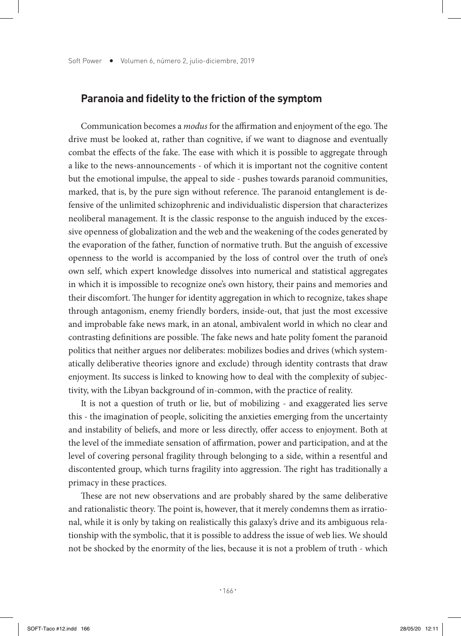#### **Paranoia and fidelity to the friction of the symptom**

Communication becomes a *modus* for the affirmation and enjoyment of the ego. The drive must be looked at, rather than cognitive, if we want to diagnose and eventually combat the effects of the fake. The ease with which it is possible to aggregate through a like to the news-announcements - of which it is important not the cognitive content but the emotional impulse, the appeal to side - pushes towards paranoid communities, marked, that is, by the pure sign without reference. The paranoid entanglement is defensive of the unlimited schizophrenic and individualistic dispersion that characterizes neoliberal management. It is the classic response to the anguish induced by the excessive openness of globalization and the web and the weakening of the codes generated by the evaporation of the father, function of normative truth. But the anguish of excessive openness to the world is accompanied by the loss of control over the truth of one's own self, which expert knowledge dissolves into numerical and statistical aggregates in which it is impossible to recognize one's own history, their pains and memories and their discomfort. The hunger for identity aggregation in which to recognize, takes shape through antagonism, enemy friendly borders, inside-out, that just the most excessive and improbable fake news mark, in an atonal, ambivalent world in which no clear and contrasting definitions are possible. The fake news and hate polity foment the paranoid politics that neither argues nor deliberates: mobilizes bodies and drives (which systematically deliberative theories ignore and exclude) through identity contrasts that draw enjoyment. Its success is linked to knowing how to deal with the complexity of subjectivity, with the Libyan background of in-common, with the practice of reality.

It is not a question of truth or lie, but of mobilizing - and exaggerated lies serve this - the imagination of people, soliciting the anxieties emerging from the uncertainty and instability of beliefs, and more or less directly, offer access to enjoyment. Both at the level of the immediate sensation of affirmation, power and participation, and at the level of covering personal fragility through belonging to a side, within a resentful and discontented group, which turns fragility into aggression. The right has traditionally a primacy in these practices.

These are not new observations and are probably shared by the same deliberative and rationalistic theory. The point is, however, that it merely condemns them as irrational, while it is only by taking on realistically this galaxy's drive and its ambiguous relationship with the symbolic, that it is possible to address the issue of web lies. We should not be shocked by the enormity of the lies, because it is not a problem of truth - which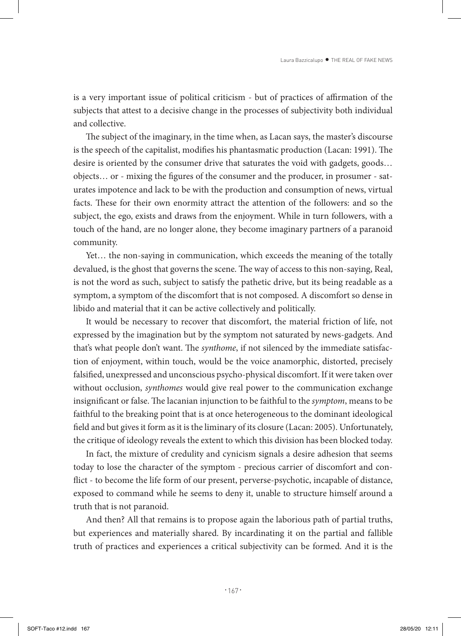is a very important issue of political criticism - but of practices of affirmation of the subjects that attest to a decisive change in the processes of subjectivity both individual and collective.

The subject of the imaginary, in the time when, as Lacan says, the master's discourse is the speech of the capitalist, modifies his phantasmatic production (Lacan: 1991). The desire is oriented by the consumer drive that saturates the void with gadgets, goods… objects… or - mixing the figures of the consumer and the producer, in prosumer - saturates impotence and lack to be with the production and consumption of news, virtual facts. These for their own enormity attract the attention of the followers: and so the subject, the ego, exists and draws from the enjoyment. While in turn followers, with a touch of the hand, are no longer alone, they become imaginary partners of a paranoid community.

Yet… the non-saying in communication, which exceeds the meaning of the totally devalued, is the ghost that governs the scene. The way of access to this non-saying, Real, is not the word as such, subject to satisfy the pathetic drive, but its being readable as a symptom, a symptom of the discomfort that is not composed. A discomfort so dense in libido and material that it can be active collectively and politically.

It would be necessary to recover that discomfort, the material friction of life, not expressed by the imagination but by the symptom not saturated by news-gadgets. And that's what people don't want. The *synthome*, if not silenced by the immediate satisfaction of enjoyment, within touch, would be the voice anamorphic, distorted, precisely falsified, unexpressed and unconscious psycho-physical discomfort. If it were taken over without occlusion, *synthomes* would give real power to the communication exchange insignificant or false. The lacanian injunction to be faithful to the *symptom*, means to be faithful to the breaking point that is at once heterogeneous to the dominant ideological field and but gives it form as it is the liminary of its closure (Lacan: 2005). Unfortunately, the critique of ideology reveals the extent to which this division has been blocked today.

In fact, the mixture of credulity and cynicism signals a desire adhesion that seems today to lose the character of the symptom - precious carrier of discomfort and conflict - to become the life form of our present, perverse-psychotic, incapable of distance, exposed to command while he seems to deny it, unable to structure himself around a truth that is not paranoid.

And then? All that remains is to propose again the laborious path of partial truths, but experiences and materially shared. By incardinating it on the partial and fallible truth of practices and experiences a critical subjectivity can be formed. And it is the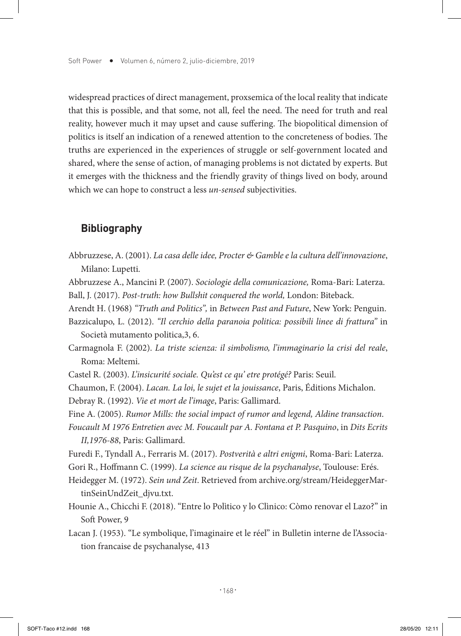widespread practices of direct management, proxsemica of the local reality that indicate that this is possible, and that some, not all, feel the need. The need for truth and real reality, however much it may upset and cause suffering. The biopolitical dimension of politics is itself an indication of a renewed attention to the concreteness of bodies. The truths are experienced in the experiences of struggle or self-government located and shared, where the sense of action, of managing problems is not dictated by experts. But it emerges with the thickness and the friendly gravity of things lived on body, around which we can hope to construct a less *un-sensed* subjectivities.

#### **Bibliography**

- Abbruzzese, A. (2001). *La casa delle idee, Procter & Gamble e la cultura dell'innovazione*, Milano: Lupetti.
- Abbruzzese A., Mancini P. (2007). *Sociologie della comunicazione,* Roma-Bari: Laterza.
- Ball, J. (2017). *Post-truth: how Bullshit conquered the world,* London: Biteback.
- Arendt H. (1968) *"Truth and Politics",* in *Between Past and Future*, New York: Penguin.

Bazzicalupo, L. (2012). *"Il cerchio della paranoia politica: possibili linee di frattura"* in Società mutamento politica,3, 6.

Carmagnola F. (2002). *La triste scienza: il simbolismo, l'immaginario la crisi del reale*, Roma: Meltemi.

- Castel R. (2003). *L'insicurité sociale. Qu'est ce qu' etre protégé?* Paris: Seuil.
- Chaumon, F. (2004). *Lacan. La loi, le sujet et la jouissance*, Paris, Éditions Michalon.

Debray R. (1992). *Vie et mort de l'image*, Paris: Gallimard.

- Fine A. (2005). *Rumor Mills: the social impact of rumor and legend, Aldine transaction*.
- *Foucault M 1976 Entretien avec M. Foucault par A. Fontana et P. Pasquino*, in *Dits Ecrits II,1976-88*, Paris: Gallimard.
- Furedi F., Tyndall A., Ferraris M. (2017). *Postverità e altri enigmi*, Roma-Bari: Laterza.
- Gori R., Hoffmann C. (1999). *La science au risque de la psychanalyse*, Toulouse: Erés.
- Heidegger M. (1972). *Sein und Zeit*. Retrieved from archive.org/stream/HeideggerMartinSeinUndZeit\_djvu.txt.
- Hounie A., Chicchi F. (2018). "Entre lo Polìtico y lo Clìnico: Còmo renovar el Lazo?" in Soft Power, 9
- Lacan J. (1953). "Le symbolique, l'imaginaire et le réel" in Bulletin interne de l'Association francaise de psychanalyse, 413